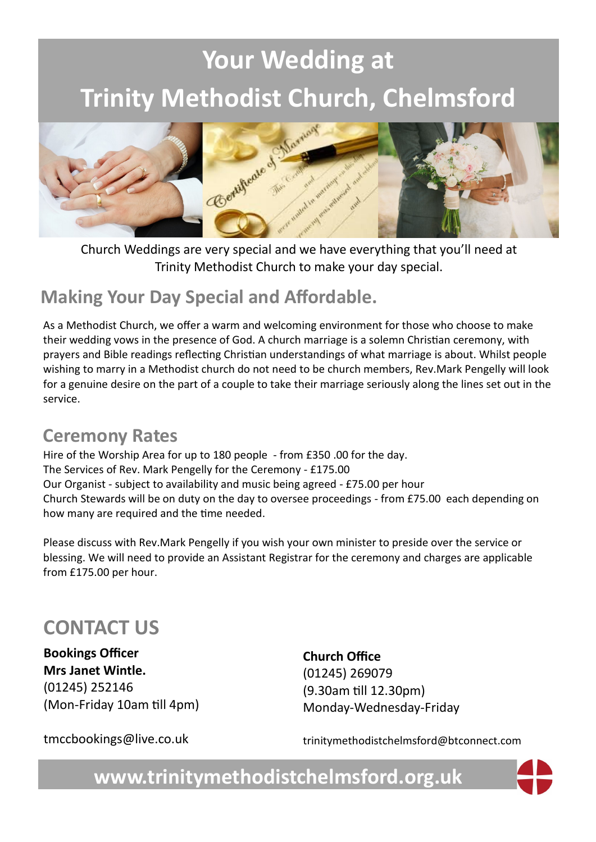# **Your Wedding at**



Church Weddings are very special and we have everything that you'll need at Trinity Methodist Church to make your day special.

### **Making Your Day Special and Affordable.**

As a Methodist Church, we offer a warm and welcoming environment for those who choose to make their wedding vows in the presence of God. A church marriage is a solemn Christian ceremony, with prayers and Bible readings reflecting Christian understandings of what marriage is about. Whilst people wishing to marry in a Methodist church do not need to be church members, Rev.Mark Pengelly will look for a genuine desire on the part of a couple to take their marriage seriously along the lines set out in the service.

### **Ceremony Rates**

Hire of the Worship Area for up to 180 people - from £350 .00 for the day. The Services of Rev. Mark Pengelly for the Ceremony - £175.00 Our Organist - subject to availability and music being agreed - £75.00 per hour Church Stewards will be on duty on the day to oversee proceedings - from £75.00 each depending on how many are required and the time needed.

Please discuss with Rev.Mark Pengelly if you wish your own minister to preside over the service or blessing. We will need to provide an Assistant Registrar for the ceremony and charges are applicable from £175.00 per hour.

## **CONTACT US**

**Bookings Officer Mrs Janet Wintle.** (01245) 252146 (Mon-Friday 10am till 4pm) **Church Office**  (01245) 269079 (9.30am till 12.30pm) Monday-Wednesday-Friday

tmccbookings@live.co.uk

trinitymethodistchelmsford@btconnect.com

**www.trinitymethodistchelmsford.org.uk**